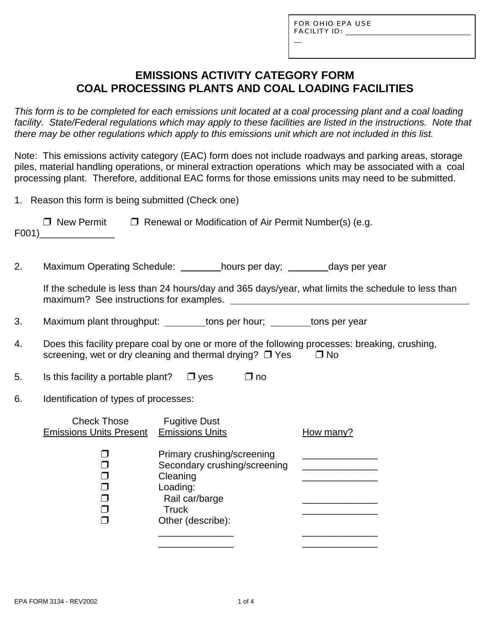L

# **EMISSIONS ACTIVITY CATEGORY FORM COAL PROCESSING PLANTS AND COAL LOADING FACILITIES**

*This form is to be completed for each emissions unit located at a coal processing plant and a coal loading facility. State/Federal regulations which may apply to these facilities are listed in the instructions. Note that there may be other regulations which apply to this emissions unit which are not included in this list.*

Note: This emissions activity category (EAC) form does not include roadways and parking areas, storage piles, material handling operations, or mineral extraction operations which may be associated with a coal processing plant. Therefore, additional EAC forms for those emissions units may need to be submitted.

1. Reason this form is being submitted (Check one)

| □ New Permit | $\Box$ Renewal or Modification of Air Permit Number(s) (e.g. |
|--------------|--------------------------------------------------------------|
| F001)        |                                                              |

2. Maximum Operating Schedule: hours per day; days per year

If the schedule is less than 24 hours/day and 365 days/year, what limits the schedule to less than maximum? See instructions for examples.

3. Maximum plant throughput: tons per hour; tons per year

- 4. Does this facility prepare coal by one or more of the following processes: breaking, crushing, screening, wet or dry cleaning and thermal drying?  $\Box$  Yes  $\Box$  No
- 5. Is this facility a portable plant?  $\Box$  yes  $\Box$  no
- 6. Identification of types of processes:

| <b>Check Those</b><br><b>Emissions Units Present</b> | <b>Fugitive Dust</b><br><b>Emissions Units</b>                                                                                            | How many? |
|------------------------------------------------------|-------------------------------------------------------------------------------------------------------------------------------------------|-----------|
|                                                      | Primary crushing/screening<br>Secondary crushing/screening<br>Cleaning<br>Loading:<br>Rail car/barge<br><b>Truck</b><br>Other (describe): |           |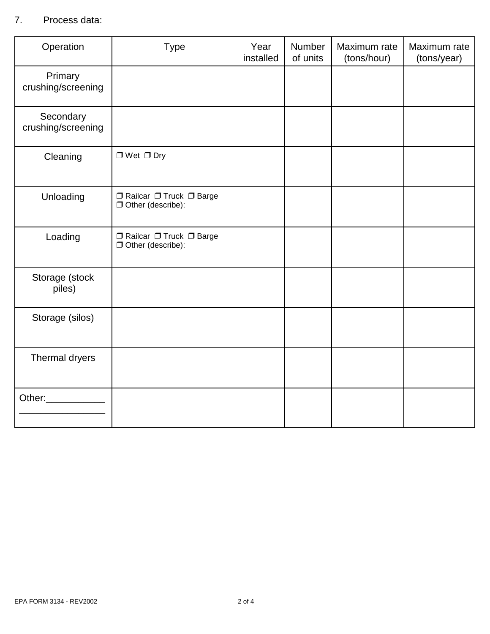### 7. Process data:

| Operation                       | <b>Type</b>                                                   | Year<br>installed | Number<br>of units | Maximum rate<br>(tons/hour) | Maximum rate<br>(tons/year) |
|---------------------------------|---------------------------------------------------------------|-------------------|--------------------|-----------------------------|-----------------------------|
| Primary<br>crushing/screening   |                                                               |                   |                    |                             |                             |
| Secondary<br>crushing/screening |                                                               |                   |                    |                             |                             |
| Cleaning                        | $\Box$ Wet $\Box$ Dry                                         |                   |                    |                             |                             |
| Unloading                       | □ Railcar □ Truck □ Barge<br>Other (describe):                |                   |                    |                             |                             |
| Loading                         | $\Box$ Railcar $\Box$ Truck $\Box$ Barge<br>Other (describe): |                   |                    |                             |                             |
| Storage (stock<br>piles)        |                                                               |                   |                    |                             |                             |
| Storage (silos)                 |                                                               |                   |                    |                             |                             |
| Thermal dryers                  |                                                               |                   |                    |                             |                             |
| Other: 1988                     |                                                               |                   |                    |                             |                             |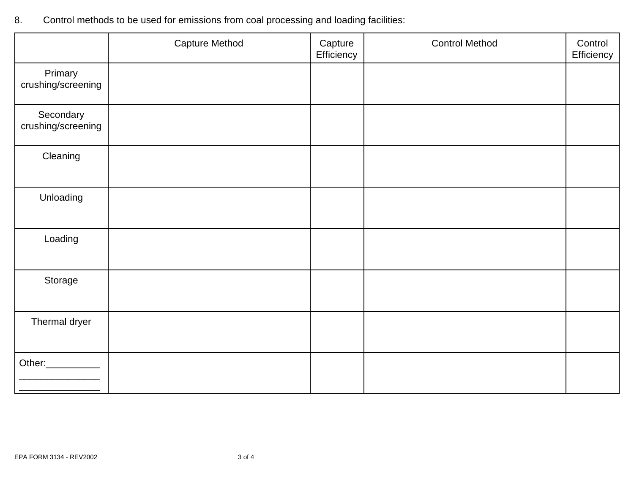- Capture Method **Capture Efficiency** Control Method **Control Efficiency** Primary crushing/screening **Secondary** crushing/screening **Cleaning** Unloading Loading Storage Thermal dryer Other:\_\_\_\_\_\_\_\_\_\_
- 8. Control methods to be used for emissions from coal processing and loading facilities: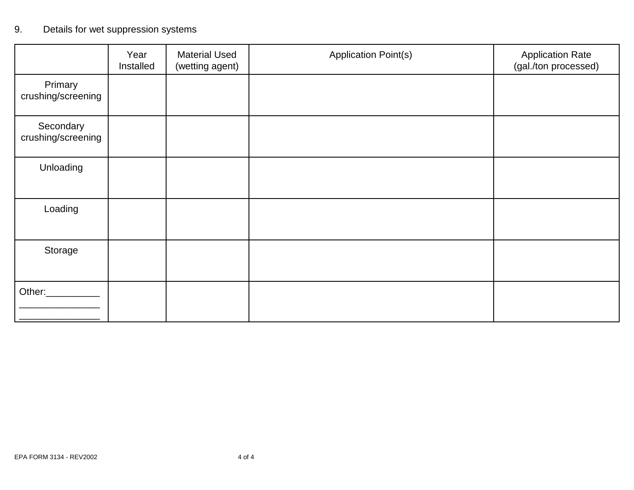# 9. Details for wet suppression systems

|                                 | Year<br>Installed | <b>Material Used</b><br>(wetting agent) | <b>Application Point(s)</b> | <b>Application Rate</b><br>(gal./ton processed) |
|---------------------------------|-------------------|-----------------------------------------|-----------------------------|-------------------------------------------------|
| Primary<br>crushing/screening   |                   |                                         |                             |                                                 |
| Secondary<br>crushing/screening |                   |                                         |                             |                                                 |
| Unloading                       |                   |                                         |                             |                                                 |
| Loading                         |                   |                                         |                             |                                                 |
| Storage                         |                   |                                         |                             |                                                 |
| Other:                          |                   |                                         |                             |                                                 |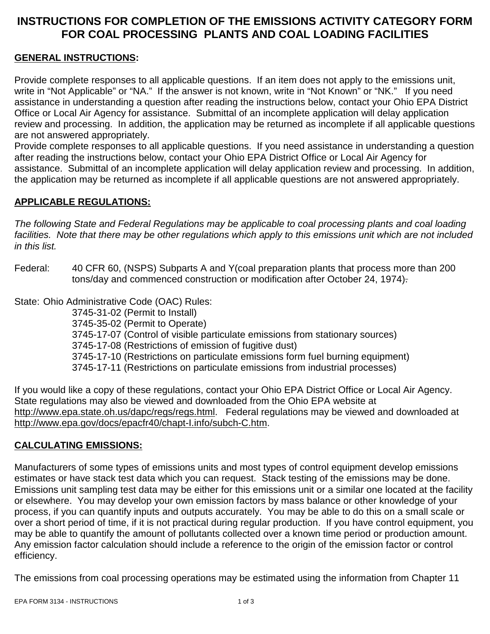# **INSTRUCTIONS FOR COMPLETION OF THE EMISSIONS ACTIVITY CATEGORY FORM FOR COAL PROCESSING PLANTS AND COAL LOADING FACILITIES**

### **GENERAL INSTRUCTIONS:**

Provide complete responses to all applicable questions. If an item does not apply to the emissions unit, write in "Not Applicable" or "NA." If the answer is not known, write in "Not Known" or "NK." If you need assistance in understanding a question after reading the instructions below, contact your Ohio EPA District Office or Local Air Agency for assistance. Submittal of an incomplete application will delay application review and processing. In addition, the application may be returned as incomplete if all applicable questions are not answered appropriately.

Provide complete responses to all applicable questions. If you need assistance in understanding a question after reading the instructions below, contact your Ohio EPA District Office or Local Air Agency for assistance. Submittal of an incomplete application will delay application review and processing. In addition, the application may be returned as incomplete if all applicable questions are not answered appropriately.

### **APPLICABLE REGULATIONS:**

*The following State and Federal Regulations may be applicable to coal processing plants and coal loading facilities. Note that there may be other regulations which apply to this emissions unit which are not included in this list.*

Federal: 40 CFR 60, (NSPS) Subparts A and Y(coal preparation plants that process more than 200 tons/day and commenced construction or modification after October 24, 1974).

State: Ohio Administrative Code (OAC) Rules:

3745-31-02 (Permit to Install) 3745-35-02 (Permit to Operate) 3745-17-07 (Control of visible particulate emissions from stationary sources) 3745-17-08 (Restrictions of emission of fugitive dust) 3745-17-10 (Restrictions on particulate emissions form fuel burning equipment) 3745-17-11 (Restrictions on particulate emissions from industrial processes)

If you would like a copy of these regulations, contact your Ohio EPA District Office or Local Air Agency. State regulations may also be viewed and downloaded from the Ohio EPA website at http://www.epa.state.oh.us/dapc/regs/regs.html. Federal regulations may be viewed and downloaded at http://www.epa.gov/docs/epacfr40/chapt-I.info/subch-C.htm.

#### **CALCULATING EMISSIONS:**

Manufacturers of some types of emissions units and most types of control equipment develop emissions estimates or have stack test data which you can request. Stack testing of the emissions may be done. Emissions unit sampling test data may be either for this emissions unit or a similar one located at the facility or elsewhere. You may develop your own emission factors by mass balance or other knowledge of your process, if you can quantify inputs and outputs accurately. You may be able to do this on a small scale or over a short period of time, if it is not practical during regular production. If you have control equipment, you may be able to quantify the amount of pollutants collected over a known time period or production amount. Any emission factor calculation should include a reference to the origin of the emission factor or control efficiency.

The emissions from coal processing operations may be estimated using the information from Chapter 11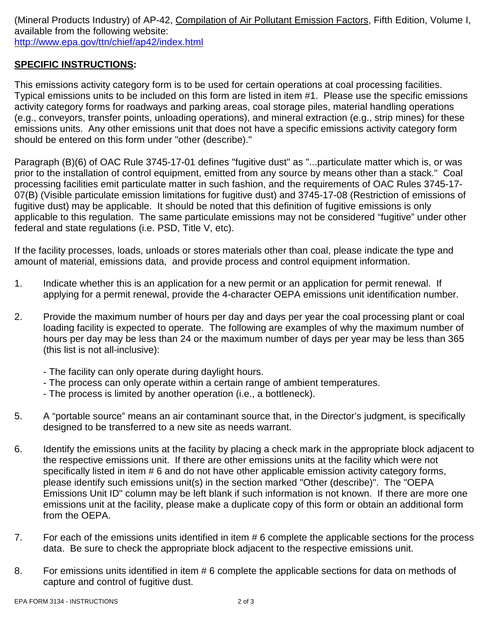(Mineral Products Industry) of AP-42, Compilation of Air Pollutant Emission Factors, Fifth Edition, Volume I, available from the following website: http://www.epa.gov/ttn/chief/ap42/index.html

### **SPECIFIC INSTRUCTIONS:**

This emissions activity category form is to be used for certain operations at coal processing facilities. Typical emissions units to be included on this form are listed in item #1. Please use the specific emissions activity category forms for roadways and parking areas, coal storage piles, material handling operations (e.g., conveyors, transfer points, unloading operations), and mineral extraction (e.g., strip mines) for these emissions units. Any other emissions unit that does not have a specific emissions activity category form should be entered on this form under "other (describe)."

Paragraph (B)(6) of OAC Rule 3745-17-01 defines "fugitive dust" as "...particulate matter which is, or was prior to the installation of control equipment, emitted from any source by means other than a stack." Coal processing facilities emit particulate matter in such fashion, and the requirements of OAC Rules 3745-17- 07(B) (Visible particulate emission limitations for fugitive dust) and 3745-17-08 (Restriction of emissions of fugitive dust) may be applicable. It should be noted that this definition of fugitive emissions is only applicable to this regulation. The same particulate emissions may not be considered "fugitive" under other federal and state regulations (i.e. PSD, Title V, etc).

If the facility processes, loads, unloads or stores materials other than coal, please indicate the type and amount of material, emissions data, and provide process and control equipment information.

- 1. Indicate whether this is an application for a new permit or an application for permit renewal. If applying for a permit renewal, provide the 4-character OEPA emissions unit identification number.
- 2. Provide the maximum number of hours per day and days per year the coal processing plant or coal loading facility is expected to operate. The following are examples of why the maximum number of hours per day may be less than 24 or the maximum number of days per year may be less than 365 (this list is not all-inclusive):
	- The facility can only operate during daylight hours.
	- The process can only operate within a certain range of ambient temperatures.
	- The process is limited by another operation (i.e., a bottleneck).
- 5. A "portable source" means an air contaminant source that, in the Director's judgment, is specifically designed to be transferred to a new site as needs warrant.
- 6. Identify the emissions units at the facility by placing a check mark in the appropriate block adjacent to the respective emissions unit. If there are other emissions units at the facility which were not specifically listed in item # 6 and do not have other applicable emission activity category forms, please identify such emissions unit(s) in the section marked "Other (describe)". The "OEPA Emissions Unit ID" column may be left blank if such information is not known. If there are more one emissions unit at the facility, please make a duplicate copy of this form or obtain an additional form from the OEPA.
- 7. For each of the emissions units identified in item # 6 complete the applicable sections for the process data. Be sure to check the appropriate block adjacent to the respective emissions unit.
- 8. For emissions units identified in item # 6 complete the applicable sections for data on methods of capture and control of fugitive dust.